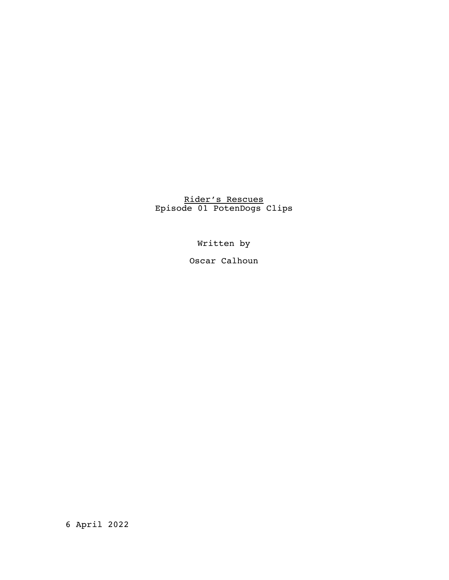## Rider's Rescues Episode 01 PotenDogs Clips

Written by

Oscar Calhoun

6 April 2022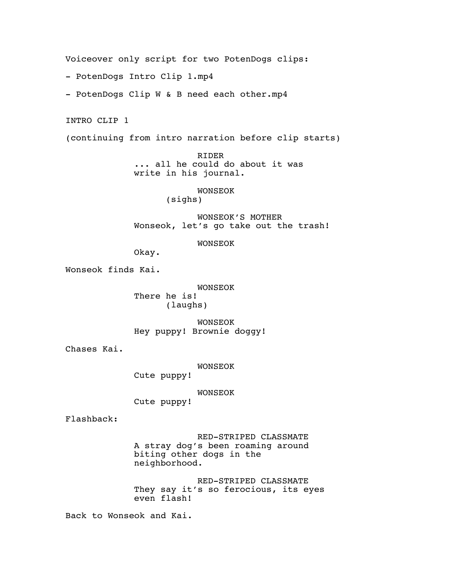Voiceover only script for two PotenDogs clips:

- PotenDogs Intro Clip 1.mp4

- PotenDogs Clip W & B need each other.mp4

INTRO CLIP 1

(continuing from intro narration before clip starts)

RIDER ... all he could do about it was write in his journal.

## WONSEOK

(sighs)

WONSEOK'S MOTHER Wonseok, let's go take out the trash!

## WONSEOK

Okay.

Wonseok finds Kai.

WONSEOK There he is! (laughs)

WONSEOK Hey puppy! Brownie doggy!

Chases Kai.

WONSEOK

Cute puppy!

WONSEOK

Cute puppy!

Flashback:

RED-STRIPED CLASSMATE A stray dog's been roaming around biting other dogs in the neighborhood.

RED-STRIPED CLASSMATE They say it's so ferocious, its eyes even flash!

Back to Wonseok and Kai.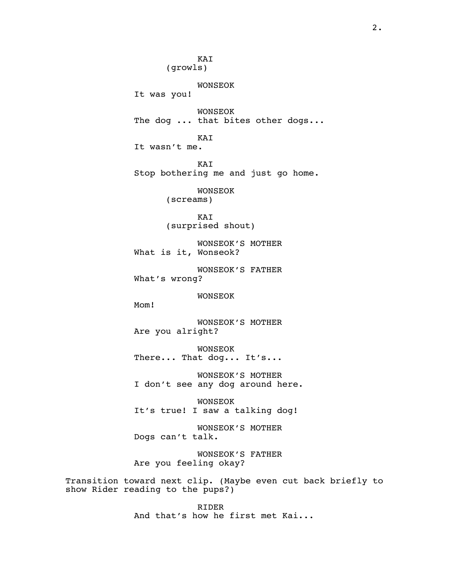KAI (growls) WONSEOK It was you! WONSEOK The dog ... that bites other dogs... KAI It wasn't me. KAI Stop bothering me and just go home. WONSEOK (screams) KAI (surprised shout) WONSEOK'S MOTHER What is it, Wonseok? WONSEOK'S FATHER What's wrong? WONSEOK Mom! WONSEOK'S MOTHER Are you alright? WONSEOK There... That dog... It's... WONSEOK'S MOTHER I don't see any dog around here. WONSEOK It's true! I saw a talking dog! WONSEOK'S MOTHER Dogs can't talk. WONSEOK'S FATHER Are you feeling okay? Transition toward next clip. (Maybe even cut back briefly to show Rider reading to the pups?)

> RIDER And that's how he first met Kai...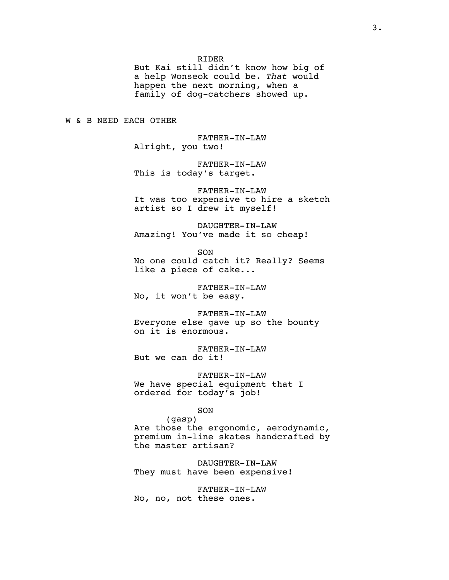RIDER

But Kai still didn't know how big of a help Wonseok could be. *That* would happen the next morning, when a family of dog-catchers showed up.

W & B NEED EACH OTHER

FATHER-IN-LAW Alright, you two!

FATHER-IN-LAW This is today's target.

FATHER-IN-LAW It was too expensive to hire a sketch artist so I drew it myself!

DAUGHTER-IN-LAW Amazing! You've made it so cheap!

SON

No one could catch it? Really? Seems like a piece of cake...

FATHER-IN-LAW No, it won't be easy.

FATHER-IN-LAW Everyone else gave up so the bounty on it is enormous.

FATHER-IN-LAW But we can do it!

FATHER-IN-LAW We have special equipment that I ordered for today's job!

SON

(gasp) Are those the ergonomic, aerodynamic, premium in-line skates handcrafted by the master artisan?

DAUGHTER-IN-LAW They must have been expensive!

FATHER-IN-LAW No, no, not these ones.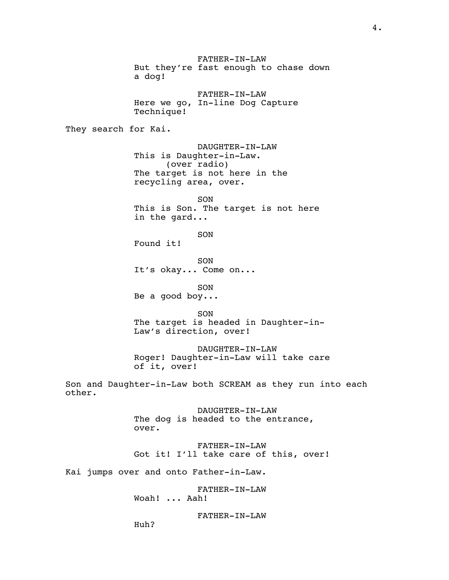FATHER-IN-LAW But they're fast enough to chase down a dog! FATHER-IN-LAW Here we go, In-line Dog Capture Technique! They search for Kai. DAUGHTER-IN-LAW This is Daughter-in-Law. (over radio) The target is not here in the recycling area, over. SON This is Son. The target is not here in the gard... SON Found it! SON It's okay... Come on... SON Be a good boy... SON The target is headed in Daughter-in-Law's direction, over! DAUGHTER-IN-LAW Roger! Daughter-in-Law will take care of it, over! Son and Daughter-in-Law both SCREAM as they run into each other. DAUGHTER-IN-LAW The dog is headed to the entrance, over. FATHER-IN-LAW Got it! I'll take care of this, over! Kai jumps over and onto Father-in-Law. FATHER-IN-LAW Woah! ... Aah! FATHER-IN-LAW Huh?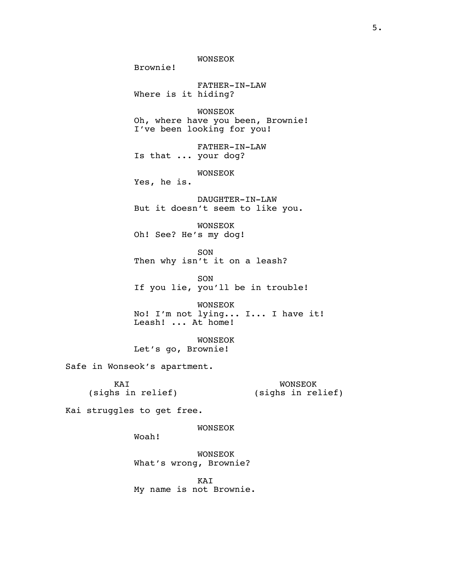WONSEOK

FATHER-IN-LAW Where is it hiding?

WONSEOK Oh, where have you been, Brownie! I've been looking for you!

FATHER-IN-LAW Is that ... your dog?

WONSEOK

Yes, he is.

Brownie!

DAUGHTER-IN-LAW But it doesn't seem to like you.

WONSEOK Oh! See? He's my dog!

SON Then why isn't it on a leash?

SON If you lie, you'll be in trouble!

WONSEOK No! I'm not lying... I... I have it! Leash! ... At home!

WONSEOK Let's go, Brownie!

Safe in Wonseok's apartment.

KAI (sighs in relief)

WONSEOK (sighs in relief)

Kai struggles to get free.

WONSEOK

Woah!

WONSEOK What's wrong, Brownie?

KAI My name is not Brownie.